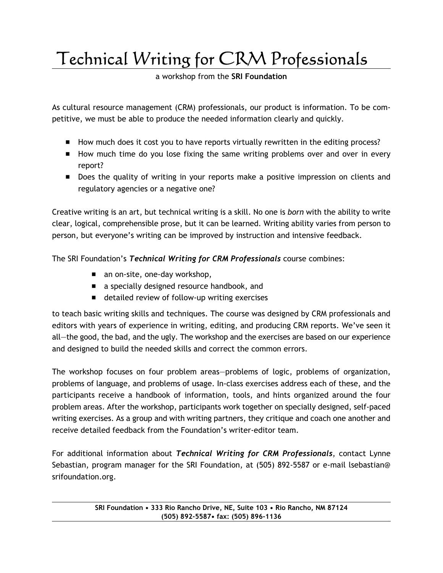Technical Writing for CRM Professionals

a workshop from the SRI Foundation

As cultural resource management (CRM) professionals, our product is information. To be competitive, we must be able to produce the needed information clearly and quickly.

- **E** How much does it cost you to have reports virtually rewritten in the editing process?
- **E** How much time do you lose fixing the same writing problems over and over in every report?
- **Does the quality of writing in your reports make a positive impression on clients and** regulatory agencies or a negative one?

Creative writing is an art, but technical writing is a skill. No one is born with the ability to write clear, logical, comprehensible prose, but it can be learned. Writing ability varies from person to person, but everyone's writing can be improved by instruction and intensive feedback.

The SRI Foundation's Technical Writing for CRM Professionals course combines:

- $\blacksquare$  an on-site, one-day workshop,
- $\blacksquare$  a specially designed resource handbook, and
- $\blacksquare$  detailed review of follow-up writing exercises

to teach basic writing skills and techniques. The course was designed by CRM professionals and editors with years of experience in writing, editing, and producing CRM reports. We've seen it all—the good, the bad, and the ugly. The workshop and the exercises are based on our experience and designed to build the needed skills and correct the common errors.

The workshop focuses on four problem areas—problems of logic, problems of organization, problems of language, and problems of usage. In-class exercises address each of these, and the participants receive a handbook of information, tools, and hints organized around the four problem areas. After the workshop, participants work together on specially designed, self-paced writing exercises. As a group and with writing partners, they critique and coach one another and receive detailed feedback from the Foundation's writer-editor team.

For additional information about Technical Writing for CRM Professionals, contact Lynne Sebastian, program manager for the SRI Foundation, at (505) 892-5587 or e-mail lsebastian@ srifoundation.org.

> SRI Foundation • 333 Rio Rancho Drive, NE, Suite 103 • Rio Rancho, NM 87124 (505) 892-5587• fax: (505) 896-1136